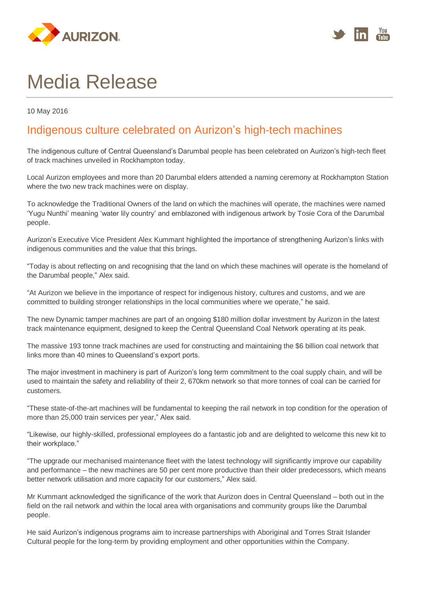



## Media Release

10 May 2016

## Indigenous culture celebrated on Aurizon's high-tech machines

The indigenous culture of Central Queensland's Darumbal people has been celebrated on Aurizon's high-tech fleet of track machines unveiled in Rockhampton today.

Local Aurizon employees and more than 20 Darumbal elders attended a naming ceremony at Rockhampton Station where the two new track machines were on display.

To acknowledge the Traditional Owners of the land on which the machines will operate, the machines were named 'Yugu Nunthi' meaning 'water lily country' and emblazoned with indigenous artwork by Tosie Cora of the Darumbal people.

Aurizon's Executive Vice President Alex Kummant highlighted the importance of strengthening Aurizon's links with indigenous communities and the value that this brings.

"Today is about reflecting on and recognising that the land on which these machines will operate is the homeland of the Darumbal people," Alex said.

"At Aurizon we believe in the importance of respect for indigenous history, cultures and customs, and we are committed to building stronger relationships in the local communities where we operate," he said.

The new Dynamic tamper machines are part of an ongoing \$180 million dollar investment by Aurizon in the latest track maintenance equipment, designed to keep the Central Queensland Coal Network operating at its peak.

The massive 193 tonne track machines are used for constructing and maintaining the \$6 billion coal network that links more than 40 mines to Queensland's export ports.

The major investment in machinery is part of Aurizon's long term commitment to the coal supply chain, and will be used to maintain the safety and reliability of their 2, 670km network so that more tonnes of coal can be carried for customers.

"These state-of-the-art machines will be fundamental to keeping the rail network in top condition for the operation of more than 25,000 train services per year," Alex said.

"Likewise, our highly-skilled, professional employees do a fantastic job and are delighted to welcome this new kit to their workplace."

"The upgrade our mechanised maintenance fleet with the latest technology will significantly improve our capability and performance – the new machines are 50 per cent more productive than their older predecessors, which means better network utilisation and more capacity for our customers," Alex said.

Mr Kummant acknowledged the significance of the work that Aurizon does in Central Queensland – both out in the field on the rail network and within the local area with organisations and community groups like the Darumbal people.

He said Aurizon's indigenous programs aim to increase partnerships with Aboriginal and Torres Strait Islander Cultural people for the long-term by providing employment and other opportunities within the Company.